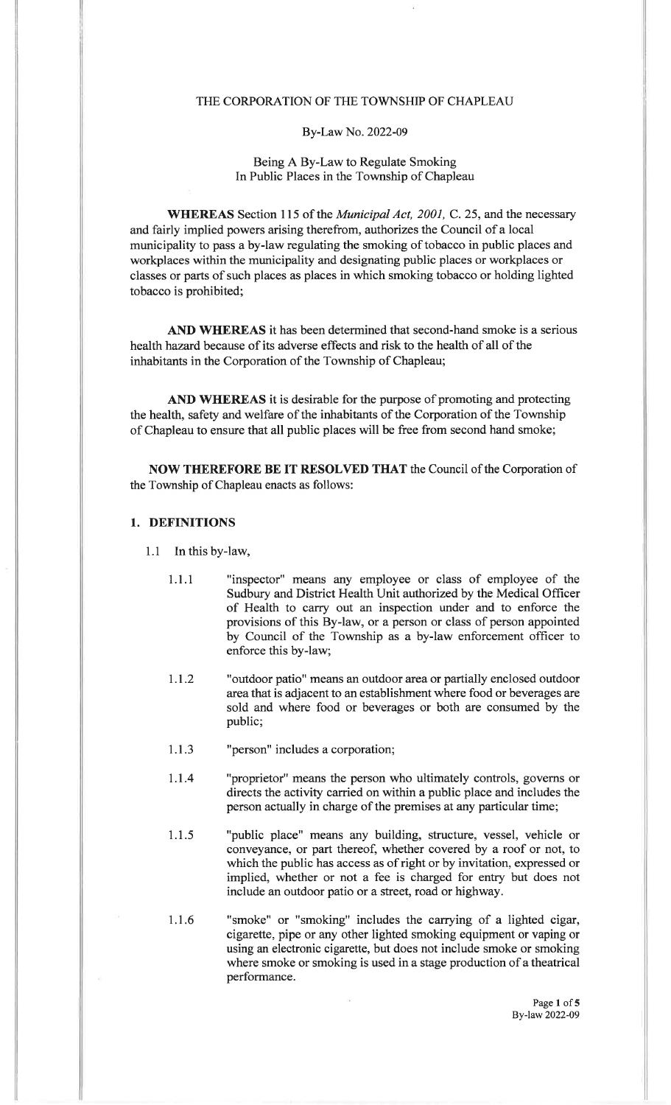#### THE CORPORATION OF THE TOWNSHIP OF CHAPLEAU

#### By-Law No. 2022-09

#### Being A By-Law to Regulate SmokingIn Public Places in the Township of Chapleau

WHEREAS Section 115 of the *Municipal Act, 2001*, C. 25, and the necessary and fairly implied powers arising therefrom, authorizes the Council of a local municipality to pass a by-law regulating the smoking of tobacco in public places andworkplaces within the municipality and designating public places or workplaces or classes or parts of such places as places in which smoking tobacco or holding lightedtobacco is prohibited;

AND WHEREAS it has been determined that second-hand smoke is a serioushealth hazard because of its adverse effects and risk to the health of all of theinhabitants in the Corporation of the Township of Chapleau;

AND WHEREAS it is desirable for the purpose of promoting and protecting the health, safety and welfare of the inhabitants of the Corporation of the Townshipof Chapleau to ensure that all public places will be free from second hand smoke;

NOW THEREFORE BE IT RESOLVED THAT the Council of the Corporation ofthe Township of Chapleau enacts as follows:

#### 1. DEFINITIONS

- 1.1 In this by-law,
	- 1.1 .1 "inspector" means any employee or class of employee of theSudbury and District Health Unit authorized by the Medical Officer of Health to carry out an inspection under and to enforce the provisions of this By-law, or a person or class of person appointed by Council of the Township as a by-law enforcement officer toenforce this by-law;
	- 1.1.2 "outdoor patio" means an outdoor area or partially enclosed outdoor areathat is adjacent to an establishment where food or beverages are sold and where food or beverages or both are consumed by thepublic;
	- 1.1.3 "person" includes a corporation;
	- 1.1.4 "proprietor" means the person who ultimately controls, governs or directs the activity carried on within a public place and includes theperson actually in charge of the premises at any particular time;
	- 1.1.5 "public place" means any building, structure, vessel, vehicle or conveyance, or part thereof, whether covered by a roof or not, to which the public has access as of right or by invitation, expressed or implied, whether or not a fee is charged for entry but does notinclude an outdoor patio or a street, road or highway.
	- "smoke" or "smoking" includes the carrying of a lighted cigar, cigarette, pipe or any other lighted smoking equipment or vaping or using an electronic cigarette, but does not include smoke or smokingwhere smoke or smoking is used in a stage production of a theatrical performance.1.1 .6

Page 1 of 5 By-law 2022-09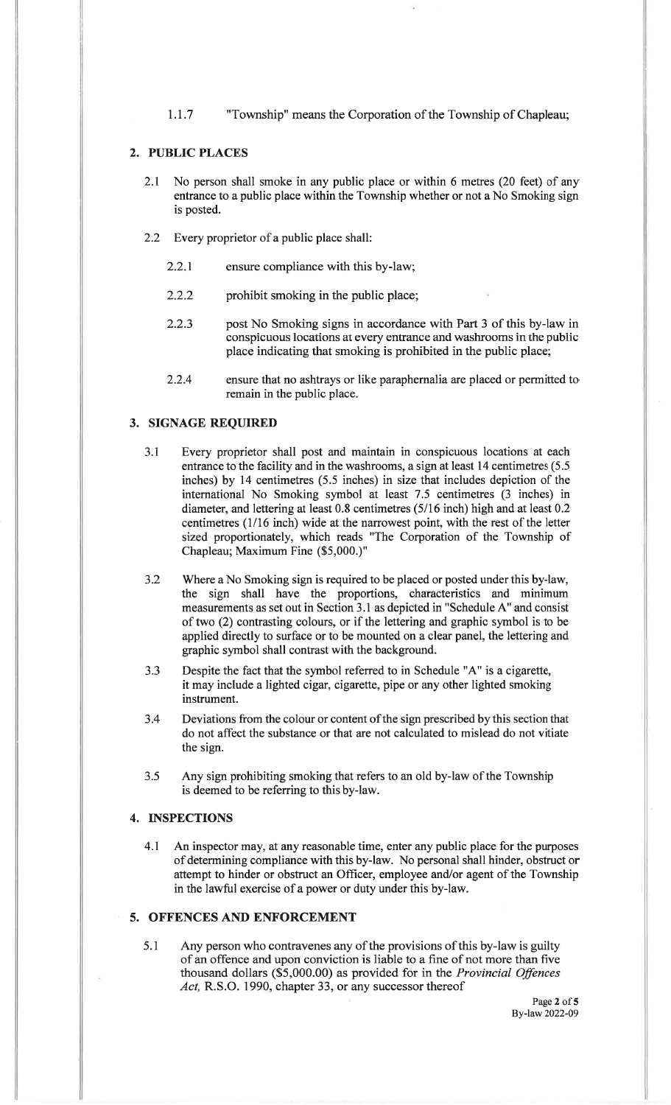1.1.7 "Township" means the Corporation of the Township of Chapleau;

## 2. PUBLIC PLACES

- 2.I No person shall smoke in any public place or within 6 metres (20 feet) of any entrance to a public place within the Township whether or not a No Smoking signis posted.
- 2.2 Every proprietor of a public place shall:
	- 2.2.1 ensure compliance with this by-law;
	- 2.2.2 prohibit smoking in the public place;
	- 2.2.3 post No Smoking signs in accordance with Part 3 of this by-law in conspicuous locations at every entrance and washrooms in the publicplace indicating that smoking is prohibited in the public place;
	- 2.2.4 ensure that no ashtrays or like paraphernalia are placed or permitted toremain in the public place.

#### 3. SIGNAGE REQUIRED

- 3.1 Every proprietor shall post and maintain in conspicuous locations at each entrance to the facility and in the washrooms, a sign at least 14 centimetres (5.5 inches) by 14 centimetres (5.5 inches) in size that includes depiction of the international No Smoking symbol at least 7.5 centimetres (3 inches) in diameter, and lettering at least 0.8 centimetres (5/16 inch) high and at least 0.2 centimetres (1/16 inch) wide at the narrowest point, with the rest of the letter sized proportionately, which reads "The Corporation of the Township of Chapleau; Maximum Fine (\$5,000.)"
- 3.2 Where a No Smoking sign is required to be placed or posted under this by-law, the sign shall have the proportions, characteristics and minimum measurements as set out in Section 3.1 as depicted in "Schedule A" and consist of two (2) contrasting colours, or if the lettering and graphic symbol is to be applied directly to surface or to be mounted on a clear panel, the lettering andgraphic symbol shall contrast with the background.
- Despite the fact that the symbol referred to in Schedule "A" is a cigarette, it may include a lighted cigar, cigarette, pipe or any other lighted smokinginstrument.J.J
- Deviations from the colour or content of the sign prescribed by this section that do not affect the substance or that are not calculated to mislead do not vitiatethe sign.3.4
- Any sign prohibiting smoking that refers to an old by-law of the Townshipis deemed to be referring to this by-law.3.5

### 4. INSPECTIONS

4.1 An inspector may, at any reasonable time, enter any public place for the purposes of determining compliance with this by-law. No personal shall hinder, obstruct or attempt to hinder or obstruct an Officer, employee and/or agent of the Townshipin the lawful exercise of a power or duty under this by-law.

## 5. OFFENCES AND ENFORCEMENT

Any person who contravenes any of the provisions of this by-law is guilty of an offence and upon conviction is liable to a fine of not more than fivethousand dollars (\$5,000.00) as provided for in the *Provincial Offences* Act, R.S.O. 1990, chapter 33, or any successor thereof 5.1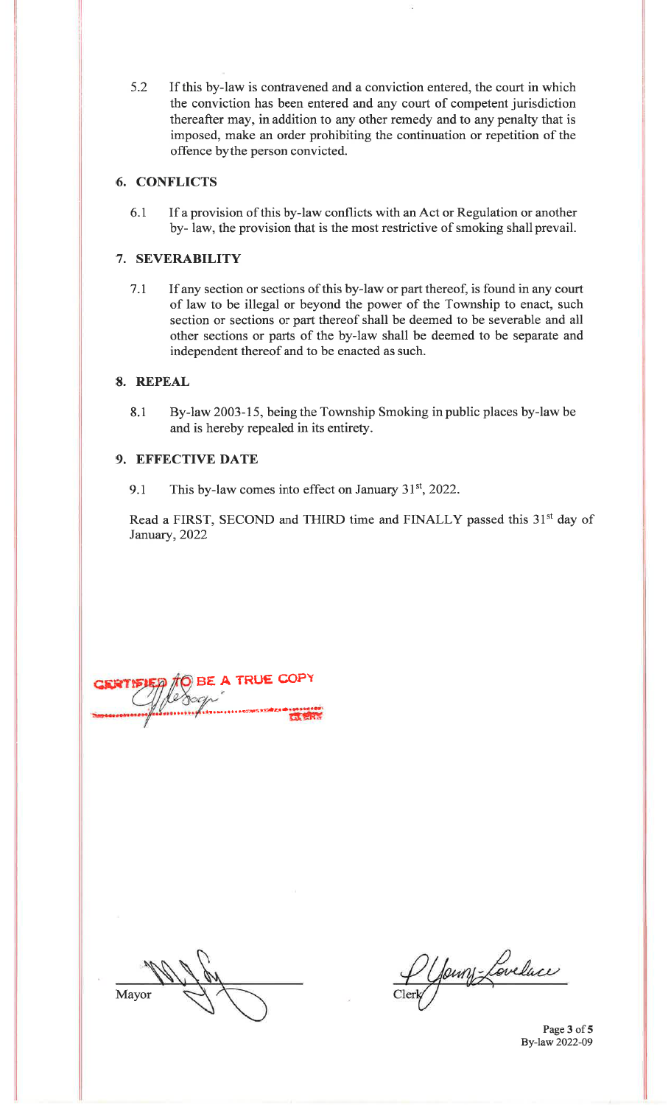5.2 If this by-law is contravened and a conviction entered, the court in which the conviction has been entered and any court of competent jurisdiction thereafter may, in addition to any other remedy and to any penalty that is imposed, make an order prohibiting the continuation or repetition of theoffence bythe person convicted.

## 6. CONFLICTS

6.1 If a provision of this by-law conflicts with an Act or Regulation or another by- law, the provision that is the most restrictive of smoking shall prevail.

## 7. SEVERABILITY

7.r If any section or sections of this by-law or part thereof, is found in any court of law to be illegal or beyond the power of the Township to enact, such section or sections or part thereof shall be deemed to be severable and all other sections or parts of the by-law shall be deemed to be separate andindependent thereof and to be enacted as such.

## 8. REPEAL

8.1 By-law 2003-15, being the Township Smoking in public places by-law beand is hereby repealed in its entirety.

## 9. EFFECTIVE DATE

9.1 This by-law comes into effect on January  $31<sup>st</sup>$ , 2022.

Read a FIRST, SECOND and THIRD time and FINALLY passed this 31<sup>st</sup> day of January,2022

**A TRUE COPY** ..\*\*\*"o.'"'#Ii\*'

Mayor

P Young Lovelace

Page 3 of 5 By-law 2022-09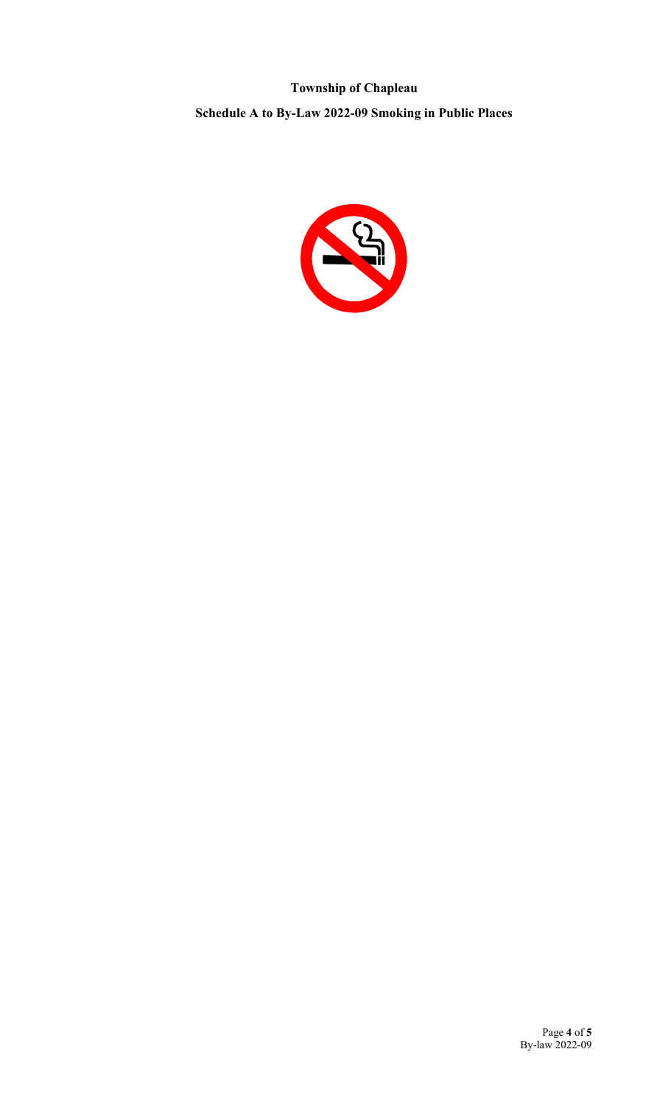**Township of Chapleau Schedule A to By-Law 2022-09 Smoking in Public Places**